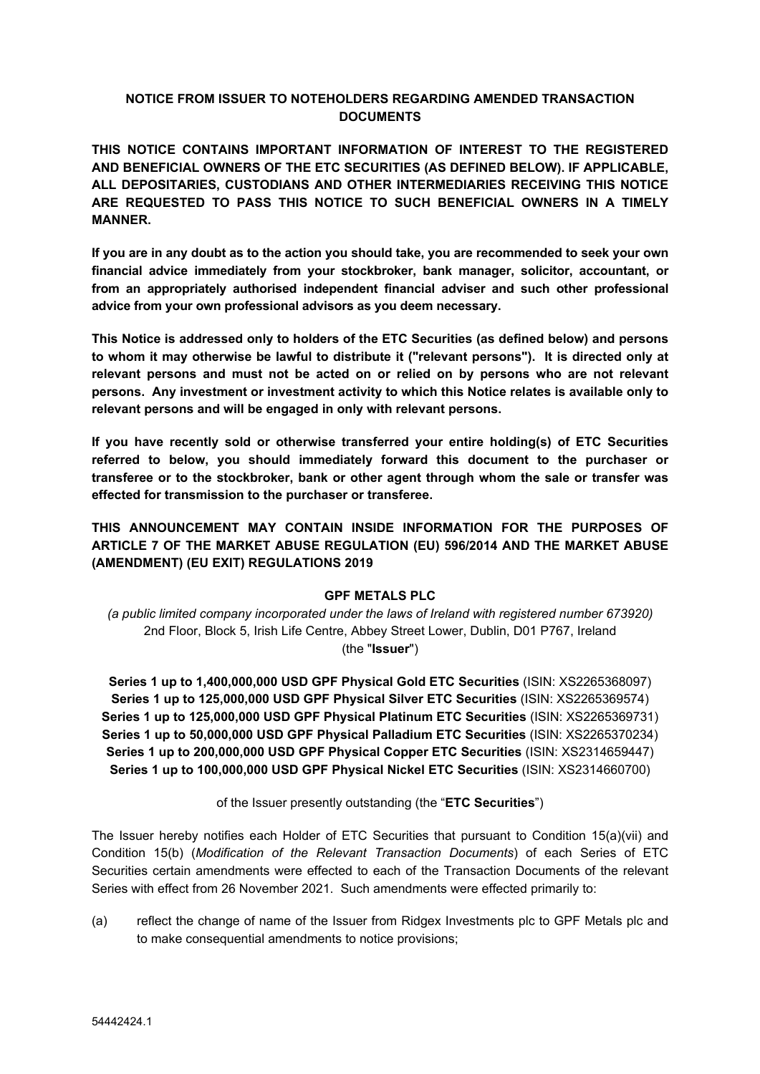## **NOTICE FROM ISSUER TO NOTEHOLDERS REGARDING AMENDED TRANSACTION DOCUMENTS**

**THIS NOTICE CONTAINS IMPORTANT INFORMATION OF INTEREST TO THE REGISTERED AND BENEFICIAL OWNERS OF THE ETC SECURITIES (AS DEFINED BELOW). IF APPLICABLE, ALL DEPOSITARIES, CUSTODIANS AND OTHER INTERMEDIARIES RECEIVING THIS NOTICE ARE REQUESTED TO PASS THIS NOTICE TO SUCH BENEFICIAL OWNERS IN A TIMELY MANNER.**

If you are in any doubt as to the action you should take, you are recommended to seek your own **financial advice immediately from your stockbroker, bank manager, solicitor, accountant, or from an appropriately authorised independent financial adviser and such other professional advice from your own professional advisors as you deem necessary.**

**This Notice is addressed only to holders of the ETC Securities (as defined below) and persons to whom it may otherwise be lawful to distribute it ("relevant persons"). It is directed only at relevant persons and must not be acted on or relied on by persons who are not relevant persons. Any investment or investment activity to which this Notice relates is available only to relevant persons and will be engaged in only with relevant persons.**

**If you have recently sold or otherwise transferred your entire holding(s) of ETC Securities referred to below, you should immediately forward this document to the purchaser or transferee or to the stockbroker, bank or other agent through whom the sale or transfer was effected for transmission to the purchaser or transferee.**

# **THIS ANNOUNCEMENT MAY CONTAIN INSIDE INFORMATION FOR THE PURPOSES OF ARTICLE 7 OF THE MARKET ABUSE REGULATION (EU) 596/2014 AND THE MARKET ABUSE (AMENDMENT) (EU EXIT) REGULATIONS 2019**

### **GPF METALS PLC**

*(a public limited company incorporated under the laws of Ireland with registered number 673920)* 2nd Floor, Block 5, Irish Life Centre, Abbey Street Lower, Dublin, D01 P767, Ireland (the "**Issuer**")

**Series 1 up to 1,400,000,000 USD GPF Physical Gold ETC Securities** (ISIN: XS2265368097) **Series 1 up to 125,000,000 USD GPF Physical Silver ETC Securities** (ISIN: XS2265369574) **Series 1 up to 125,000,000 USD GPF Physical Platinum ETC Securities** (ISIN: XS2265369731) **Series 1 up to 50,000,000 USD GPF Physical Palladium ETC Securities** (ISIN: XS2265370234) **Series 1 up to 200,000,000 USD GPF Physical Copper ETC Securities** (ISIN: XS2314659447) **Series 1 up to 100,000,000 USD GPF Physical Nickel ETC Securities** (ISIN: XS2314660700)

of the Issuer presently outstanding (the "**ETC Securities**")

The Issuer hereby notifies each Holder of ETC Securities that pursuant to Condition 15(a)(vii) and Condition 15(b) (*Modification of the Relevant Transaction Documents*) of each Series of ETC Securities certain amendments were effected to each of the Transaction Documents of the relevant Series with effect from 26 November 2021. Such amendments were effected primarily to:

(a) reflect the change of name of the Issuer from Ridgex Investments plc to GPF Metals plc and to make consequential amendments to notice provisions;